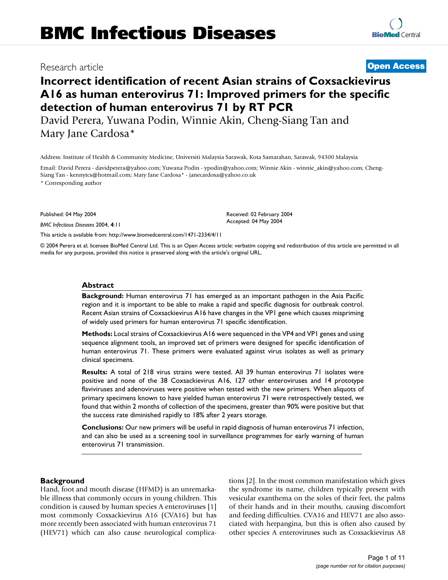# Research article **[Open Access](http://www.biomedcentral.com/info/about/charter/)**

# **Incorrect identification of recent Asian strains of Coxsackievirus A16 as human enterovirus 71: Improved primers for the specific detection of human enterovirus 71 by RT PCR**

David Perera, Yuwana Podin, Winnie Akin, Cheng-Siang Tan and Mary Jane Cardosa\*

Address: Institute of Health & Community Medicine, Universiti Malaysia Sarawak, Kota Samarahan, Sarawak, 94300 Malaysia

Email: David Perera - davidperera@yahoo.com; Yuwana Podin - ypodin@yahoo.com; Winnie Akin - winnie\_akin@yahoo.com; Cheng-Siang Tan - kennytcs@hotmail.com; Mary Jane Cardosa\* - janecardosa@yahoo.co.uk

\* Corresponding author

Published: 04 May 2004

*BMC Infectious Diseases* 2004, **4**:11

[This article is available from: http://www.biomedcentral.com/1471-2334/4/11](http://www.biomedcentral.com/1471-2334/4/11)

© 2004 Perera et al; licensee BioMed Central Ltd. This is an Open Access article: verbatim copying and redistribution of this article are permitted in all media for any purpose, provided this notice is preserved along with the article's original URL.

Received: 02 February 2004 Accepted: 04 May 2004

#### **Abstract**

**Background:** Human enterovirus 71 has emerged as an important pathogen in the Asia Pacific region and it is important to be able to make a rapid and specific diagnosis for outbreak control. Recent Asian strains of Coxsackievirus A16 have changes in the VP1 gene which causes mispriming of widely used primers for human enterovirus 71 specific identification.

**Methods:** Local strains of Coxsackievirus A16 were sequenced in the VP4 and VP1 genes and using sequence alignment tools, an improved set of primers were designed for specific identification of human enterovirus 71. These primers were evaluated against virus isolates as well as primary clinical specimens.

**Results:** A total of 218 virus strains were tested. All 39 human enterovirus 71 isolates were positive and none of the 38 Coxsackievirus A16, 127 other enteroviruses and 14 prototype flaviviruses and adenoviruses were positive when tested with the new primers. When aliquots of primary specimens known to have yielded human enterovirus 71 were retrospectively tested, we found that within 2 months of collection of the specimens, greater than 90% were positive but that the success rate diminished rapidly to 18% after 2 years storage.

**Conclusions:** Our new primers will be useful in rapid diagnosis of human enterovirus 71 infection, and can also be used as a screening tool in surveillance programmes for early warning of human enterovirus 71 transmission.

#### **Background**

Hand, foot and mouth disease (HFMD) is an unremarkable illness that commonly occurs in young children. This condition is caused by human species A enteroviruses [1] most commonly Coxsackievirus A16 (CVA16) but has more recently been associated with human enterovirus 71 (HEV71) which can also cause neurological complications [2]. In the most common manifestation which gives the syndrome its name, children typically present with vesicular exanthema on the soles of their feet, the palms of their hands and in their mouths, causing discomfort and feeding difficulties. CVA16 and HEV71 are also associated with herpangina, but this is often also caused by other species A enteroviruses such as Coxsackievirus A8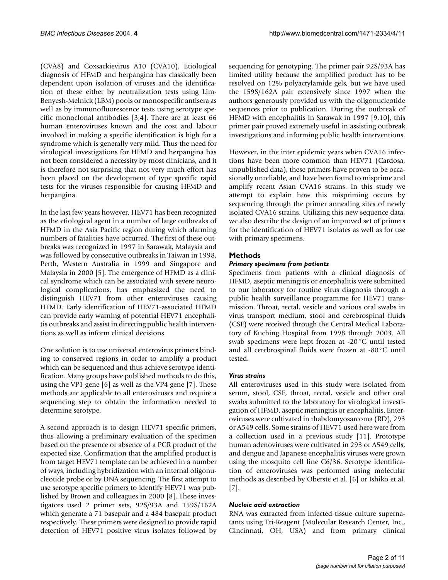(CVA8) and Coxsackievirus A10 (CVA10). Etiological diagnosis of HFMD and herpangina has classically been dependent upon isolation of viruses and the identification of these either by neutralization tests using Lim-Benyesh-Melnick (LBM) pools or monospecific antisera as well as by immunofluorescence tests using serotype specific monoclonal antibodies [3,4]. There are at least 66 human enteroviruses known and the cost and labour involved in making a specific identification is high for a syndrome which is generally very mild. Thus the need for virological investigations for HFMD and herpangina has not been considered a necessity by most clinicians, and it is therefore not surprising that not very much effort has been placed on the development of type specific rapid tests for the viruses responsible for causing HFMD and herpangina.

In the last few years however, HEV71 has been recognized as the etiological agent in a number of large outbreaks of HFMD in the Asia Pacific region during which alarming numbers of fatalities have occurred. The first of these outbreaks was recognized in 1997 in Sarawak, Malaysia and was followed by consecutive outbreaks in Taiwan in 1998, Perth, Western Australia in 1999 and Singapore and Malaysia in 2000 [5]. The emergence of HFMD as a clinical syndrome which can be associated with severe neurological complications, has emphasized the need to distinguish HEV71 from other enteroviruses causing HFMD. Early identification of HEV71-associated HFMD can provide early warning of potential HEV71 encephalitis outbreaks and assist in directing public health interventions as well as inform clinical decisions.

One solution is to use universal enterovirus primers binding to conserved regions in order to amplify a product which can be sequenced and thus achieve serotype identification. Many groups have published methods to do this, using the VP1 gene [6] as well as the VP4 gene [7]. These methods are applicable to all enteroviruses and require a sequencing step to obtain the information needed to determine serotype.

A second approach is to design HEV71 specific primers, thus allowing a preliminary evaluation of the specimen based on the presence or absence of a PCR product of the expected size. Confirmation that the amplified product is from target HEV71 template can be achieved in a number of ways, including hybridization with an internal oligonucleotide probe or by DNA sequencing. The first attempt to use serotype specific primers to identify HEV71 was published by Brown and colleagues in 2000 [8]. These investigators used 2 primer sets, 92S/93A and 159S/162A which generate a 71 basepair and a 484 basepair product respectively. These primers were designed to provide rapid detection of HEV71 positive virus isolates followed by sequencing for genotyping. The primer pair 92S/93A has limited utility because the amplified product has to be resolved on 12% polyacrylamide gels, but we have used the 159S/162A pair extensively since 1997 when the authors generously provided us with the oligonucleotide sequences prior to publication. During the outbreak of HFMD with encephalitis in Sarawak in 1997 [9,10], this primer pair proved extremely useful in assisting outbreak investigations and informing public health interventions.

However, in the inter epidemic years when CVA16 infections have been more common than HEV71 (Cardosa, unpublished data), these primers have proven to be occasionally unreliable, and have been found to misprime and amplify recent Asian CVA16 strains. In this study we attempt to explain how this mispriming occurs by sequencing through the primer annealing sites of newly isolated CVA16 strains. Utilizing this new sequence data, we also describe the design of an improved set of primers for the identification of HEV71 isolates as well as for use with primary specimens.

# **Methods**

# *Primary specimens from patients*

Specimens from patients with a clinical diagnosis of HFMD, aseptic meningitis or encephalitis were submitted to our laboratory for routine virus diagnosis through a public health surveillance programme for HEV71 transmission. Throat, rectal, vesicle and various oral swabs in virus transport medium, stool and cerebrospinal fluids (CSF) were received through the Central Medical Laboratory of Kuching Hospital from 1998 through 2003. All swab specimens were kept frozen at -20°C until tested and all cerebrospinal fluids were frozen at -80°C until tested.

# *Virus strains*

All enteroviruses used in this study were isolated from serum, stool, CSF, throat, rectal, vesicle and other oral swabs submitted to the laboratory for virological investigation of HFMD, aseptic meningitis or encephalitis. Enteroviruses were cultivated in rhabdomyosarcoma (RD), 293 or A549 cells. Some strains of HEV71 used here were from a collection used in a previous study [11]. Prototype human adenoviruses were cultivated in 293 or A549 cells, and dengue and Japanese encephalitis viruses were grown using the mosquito cell line C6/36. Serotype identification of enteroviruses was performed using molecular methods as described by Oberste et al. [6] or Ishiko et al. [7].

# *Nucleic acid extraction*

RNA was extracted from infected tissue culture supernatants using Tri-Reagent (Molecular Research Center, Inc., Cincinnati, OH, USA) and from primary clinical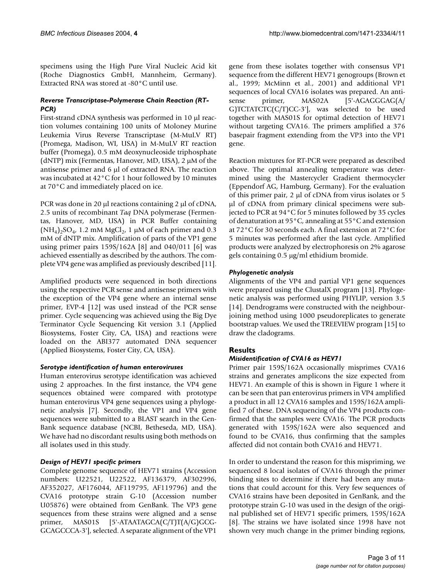specimens using the High Pure Viral Nucleic Acid kit (Roche Diagnostics GmbH, Mannheim, Germany). Extracted RNA was stored at -80°C until use.

# *Reverse Transcriptase-Polymerase Chain Reaction (RT-PCR)*

First-strand cDNA synthesis was performed in 10 µl reaction volumes containing 100 units of Moloney Murine Leukemia Virus Reverse Transcriptase (M-MuLV RT) (Promega, Madison, WI, USA) in M-MuLV RT reaction buffer (Promega), 0.5 mM deoxynucleoside triphosphate (dNTP) mix (Fermentas, Hanover, MD, USA), 2 µM of the antisense primer and 6 µl of extracted RNA. The reaction was incubated at 42°C for 1 hour followed by 10 minutes at 70°C and immediately placed on ice.

PCR was done in 20  $\mu$  reactions containing 2  $\mu$  of cDNA, 2.5 units of recombinant *Taq* DNA polymerase (Fermentas, Hanover, MD, USA) in PCR Buffer containing  $(NH_4)_2SO_4$ , 1.2 mM MgCl<sub>2</sub>, 1 µM of each primer and 0.3 mM of dNTP mix. Amplification of parts of the VP1 gene using primer pairs 159S/162A [8] and 040/011 [6] was achieved essentially as described by the authors. The complete VP4 gene was amplified as previously described [11].

Amplified products were sequenced in both directions using the respective PCR sense and antisense primers with the exception of the VP4 gene where an internal sense primer, EVP-4 [12] was used instead of the PCR sense primer. Cycle sequencing was achieved using the Big Dye Terminator Cycle Sequencing Kit version 3.1 (Applied Biosystems, Foster City, CA, USA) and reactions were loaded on the ABI377 automated DNA sequencer (Applied Biosystems, Foster City, CA, USA).

# *Serotype identification of human enteroviruses*

Human enterovirus serotype identification was achieved using 2 approaches. In the first instance, the VP4 gene sequences obtained were compared with prototype human enterovirus VP4 gene sequences using a phylogenetic analysis [7]. Secondly, the VP1 and VP4 gene sequences were submitted to a BLAST search in the Gen-Bank sequence database (NCBI, Betheseda, MD, USA). We have had no discordant results using both methods on all isolates used in this study.

# *Design of HEV71 specific primers*

Complete genome sequence of HEV71 strains (Accession numbers: U22521, U22522, AF136379, AF302996, AF352027, AF176044, AF119795, AF119796) and the CVA16 prototype strain G-10 (Accession number U05876) were obtained from GenBank. The VP3 gene sequences from these strains were aligned and a sense primer, MAS01S [5'-ATAATAGCA(C/T)T(A/G)GCG-GCAGCCCA-3'], selected. A separate alignment of the VP1

gene from these isolates together with consensus VP1 sequence from the different HEV71 genogroups (Brown et al., 1999; McMinn et al., 2001) and additional VP1 sequences of local CVA16 isolates was prepared. An antisense primer, MAS02A [5'-AGAGGGAG(A/ G)TCTATCTC(C/T)CC-3'], was selected to be used together with MAS01S for optimal detection of HEV71 without targeting CVA16. The primers amplified a 376 basepair fragment extending from the VP3 into the VP1 gene.

Reaction mixtures for RT-PCR were prepared as described above. The optimal annealing temperature was determined using the Mastercycler Gradient thermocycler (Eppendorf AG, Hamburg, Germany). For the evaluation of this primer pair,  $2 \mu$  of cDNA from virus isolates or 5 µl of cDNA from primary clinical specimens were subjected to PCR at 94°C for 5 minutes followed by 35 cycles of denaturation at 95°C, annealing at 55°C and extension at 72°C for 30 seconds each. A final extension at 72°C for 5 minutes was performed after the last cycle. Amplified products were analyzed by electrophoresis on 2% agarose gels containing 0.5 µg/ml ethidium bromide.

# *Phylogenetic analysis*

Alignments of the VP4 and partial VP1 gene sequences were prepared using the ClustalX program [13]. Phylogenetic analysis was performed using PHYLIP, version 3.5 [14]. Dendrograms were constructed with the neighbourjoining method using 1000 pseudoreplicates to generate bootstrap values. We used the TREEVIEW program [15] to draw the cladograms.

# **Results**

# *Misidentification of CVA16 as HEV71*

Primer pair 159S/162A occasionally misprimes CVA16 strains and generates amplicons the size expected from HEV71. An example of this is shown in Figure [1](#page-3-0) where it can be seen that pan enterovirus primers in VP4 amplified a product in all 12 CVA16 samples and 159S/162A amplified 7 of these. DNA sequencing of the VP4 products confirmed that the samples were CVA16. The PCR products generated with 159S/162A were also sequenced and found to be CVA16, thus confirming that the samples affected did not contain both CVA16 and HEV71.

In order to understand the reason for this mispriming, we sequenced 8 local isolates of CVA16 through the primer binding sites to determine if there had been any mutations that could account for this. Very few sequences of CVA16 strains have been deposited in GenBank, and the prototype strain G-10 was used in the design of the original published set of HEV71 specific primers, 159S/162A [8]. The strains we have isolated since 1998 have not shown very much change in the primer binding regions,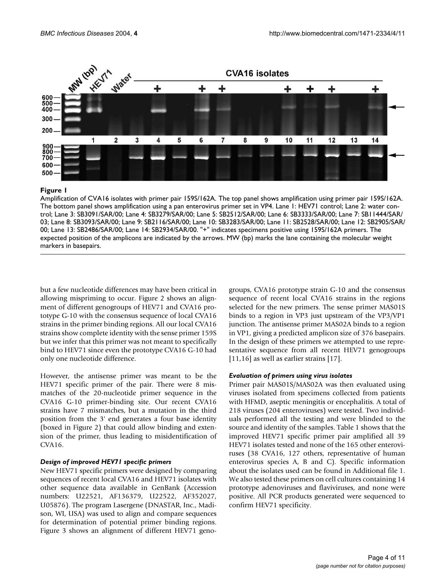<span id="page-3-0"></span>

# **Figure I**

Amplification of CVA16 isolates with primer pair 159S/162A. The top panel shows amplification using primer pair 159S/162A. The bottom panel shows amplification using a pan enterovirus primer set in VP4. Lane 1: HEV71 control; Lane 2: water control; Lane 3: SB3091/SAR/00; Lane 4: SB3279/SAR/00; Lane 5: SB2512/SAR/00; Lane 6: SB3333/SAR/00; Lane 7: SB11444/SAR/ 03; Lane 8: SB3093/SAR/00; Lane 9: SB2116/SAR/00; Lane 10: SB3283/SAR/00; Lane 11: SB2528/SAR/00; Lane 12: SB2905/SAR/ 00; Lane 13: SB2486/SAR/00; Lane 14: SB2934/SAR/00. "+" indicates specimens positive using 159S/162A primers. The expected position of the amplicons are indicated by the arrows. MW (bp) marks the lane containing the molecular weight markers in basepairs.

but a few nucleotide differences may have been critical in allowing mispriming to occur. Figure 2 shows an alignment of different genogroups of HEV71 and CVA16 prototype G-10 with the consensus sequence of local CVA16 strains in the primer binding regions. All our local CVA16 strains show complete identity with the sense primer 159S but we infer that this primer was not meant to specifically bind to HEV71 since even the prototype CVA16 G-10 had only one nucleotide difference.

However, the antisense primer was meant to be the HEV71 specific primer of the pair. There were 8 mismatches of the 20-nucleotide primer sequence in the CVA16 G-10 primer-binding site. Our recent CVA16 strains have 7 mismatches, but a mutation in the third position from the 3' end generates a four base identity (boxed in Figure 2) that could allow binding and extension of the primer, thus leading to misidentification of CVA16.

# *Design of improved HEV71 specific primers*

New HEV71 specific primers were designed by comparing sequences of recent local CVA16 and HEV71 isolates with other sequence data available in GenBank (Accession numbers: U22521, AF136379, U22522, AF352027, U05876). The program Lasergene (DNASTAR, Inc., Madison, WI, USA) was used to align and compare sequences for determination of potential primer binding regions. Figure [3](#page-5-0) shows an alignment of different HEV71 genogroups, CVA16 prototype strain G-10 and the consensus sequence of recent local CVA16 strains in the regions selected for the new primers. The sense primer MAS01S binds to a region in VP3 just upstream of the VP3/VP1 junction. The antisense primer MAS02A binds to a region in VP1, giving a predicted amplicon size of 376 basepairs. In the design of these primers we attempted to use representative sequence from all recent HEV71 genogroups [11,16] as well as earlier strains [17].

# *Evaluation of primers using virus isolates*

Primer pair MAS01S/MAS02A was then evaluated using viruses isolated from specimens collected from patients with HFMD, aseptic meningitis or encephalitis. A total of 218 viruses (204 enteroviruses) were tested. Two individuals performed all the testing and were blinded to the source and identity of the samples. Table [1](#page-5-1) shows that the improved HEV71 specific primer pair amplified all 39 HEV71 isolates tested and none of the 165 other enteroviruses (38 CVA16, 127 others, representative of human enterovirus species A, B and C). Specific information about the isolates used can be found in Additional file 1. We also tested these primers on cell cultures containing 14 prototype adenoviruses and flaviviruses, and none were positive. All PCR products generated were sequenced to confirm HEV71 specificity.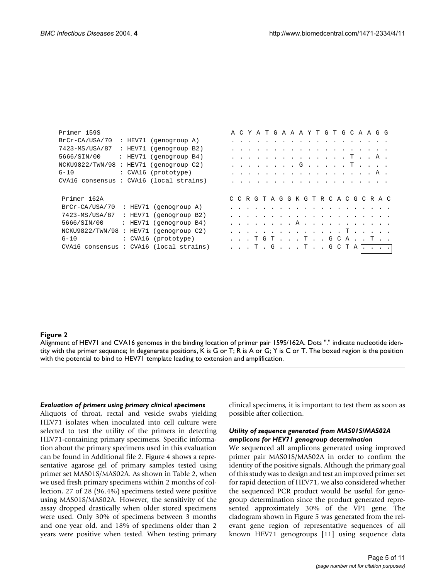| Primer 159S                            |  |                        |  |  |  |  |  | A C Y A T G A A A Y T G T G C A A G G                                                                                                                                                                                          |  |  |  |  |  |
|----------------------------------------|--|------------------------|--|--|--|--|--|--------------------------------------------------------------------------------------------------------------------------------------------------------------------------------------------------------------------------------|--|--|--|--|--|
| BrCr-CA/USA/70                         |  | : HEV71 (genogroup A)  |  |  |  |  |  | and the company of the company of the company of the company of the company of the company of the company of the company of the company of the company of the company of the company of the company of the company of the comp |  |  |  |  |  |
| 7423-MS/USA/87                         |  | : HEV71 (genogroup B2) |  |  |  |  |  |                                                                                                                                                                                                                                |  |  |  |  |  |
| 5666/SIN/00                            |  | : HEV71 (genogroup B4) |  |  |  |  |  | . T A .                                                                                                                                                                                                                        |  |  |  |  |  |
| NCKU9822/TWN/98 : HEV71 (genogroup C2) |  |                        |  |  |  |  |  | . G T                                                                                                                                                                                                                          |  |  |  |  |  |
| G-10                                   |  | : CVA16 (prototype)    |  |  |  |  |  | . A .                                                                                                                                                                                                                          |  |  |  |  |  |
| CVA16 consensus: CVA16 (local strains) |  |                        |  |  |  |  |  |                                                                                                                                                                                                                                |  |  |  |  |  |
|                                        |  |                        |  |  |  |  |  |                                                                                                                                                                                                                                |  |  |  |  |  |
| Primer 162A                            |  |                        |  |  |  |  |  | CCRGTAGGKGTRCACGCRAC                                                                                                                                                                                                           |  |  |  |  |  |
| BrCr-CA/USA/70                         |  | : HEV71 (genogroup A)  |  |  |  |  |  |                                                                                                                                                                                                                                |  |  |  |  |  |
| 7423-MS/USA/87                         |  | : HEV71 (genogroup B2) |  |  |  |  |  |                                                                                                                                                                                                                                |  |  |  |  |  |
| 5666/SIN/00                            |  | : HEV71 (genogroup B4) |  |  |  |  |  |                                                                                                                                                                                                                                |  |  |  |  |  |
| NCKU9822/TWN/98 : HEV71 (genogroup C2) |  |                        |  |  |  |  |  |                                                                                                                                                                                                                                |  |  |  |  |  |
| $G-10$                                 |  | : CVA16 (prototype)    |  |  |  |  |  | . T G T T G C A T                                                                                                                                                                                                              |  |  |  |  |  |
| CVA16 consensus: CVA16 (local strains) |  |                        |  |  |  |  |  | . T . G T G C T A                                                                                                                                                                                                              |  |  |  |  |  |
|                                        |  |                        |  |  |  |  |  |                                                                                                                                                                                                                                |  |  |  |  |  |

# Alignment of HEV71 and CVA16 genomes in the **Figure 2** binding location of primer pair 159S/162A

Alignment of HEV71 and CVA16 genomes in the binding location of primer pair 159S/162A. Dots "." indicate nucleotide identity with the primer sequence; In degenerate positions, K is G or T; R is A or G; Y is C or T. The boxed region is the position with the potential to bind to HEV71 template leading to extension and amplification.

#### *Evaluation of primers using primary clinical specimens*

Aliquots of throat, rectal and vesicle swabs yielding HEV71 isolates when inoculated into cell culture were selected to test the utility of the primers in detecting HEV71-containing primary specimens. Specific information about the primary specimens used in this evaluation can be found in Additional file 2. Figure 4 shows a representative agarose gel of primary samples tested using primer set MAS01S/MAS02A. As shown in Table 2, when we used fresh primary specimens within 2 months of collection, 27 of 28 (96.4%) specimens tested were positive using MAS01S/MAS02A. However, the sensitivity of the assay dropped drastically when older stored specimens were used. Only 30% of specimens between 3 months and one year old, and 18% of specimens older than 2 years were positive when tested. When testing primary clinical specimens, it is important to test them as soon as possible after collection.

#### *Utility of sequence generated from MAS01S/MAS02A amplicons for HEV71 genogroup determination*

We sequenced all amplicons generated using improved primer pair MAS01S/MAS02A in order to confirm the identity of the positive signals. Although the primary goal of this study was to design and test an improved primer set for rapid detection of HEV71, we also considered whether the sequenced PCR product would be useful for genogroup determination since the product generated represented approximately 30% of the VP1 gene. The cladogram shown in Figure [5](#page-7-0) was generated from the relevant gene region of representative sequences of all known HEV71 genogroups [11] using sequence data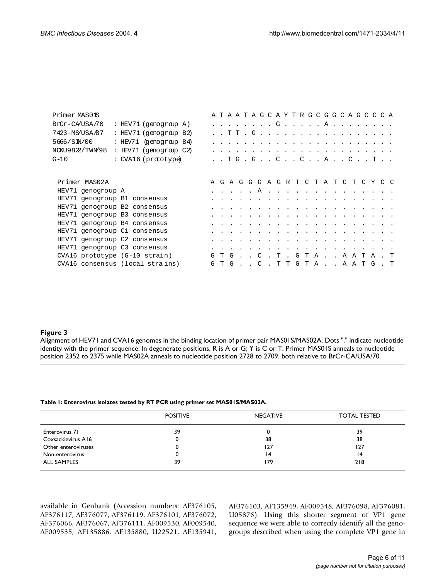<span id="page-5-0"></span>

| Primer MAS01S                |                                 |  |  |  | A T A A T A G C A Y T R G C G G C A G C C C A                                                                   |  |  |  |  |  |  |  |
|------------------------------|---------------------------------|--|--|--|-----------------------------------------------------------------------------------------------------------------|--|--|--|--|--|--|--|
| BrCr-CA/USA/70               | : HEV71 (genogramp A)           |  |  |  |                                                                                                                 |  |  |  |  |  |  |  |
| 7423-MS/USA/87               | : HEV71 (genograp B2)           |  |  |  |                                                                                                                 |  |  |  |  |  |  |  |
| 5666/SN/00                   | : HEV71 (genograp B4)           |  |  |  | المناطر المناطر المناطر المناطر المناطر المناطر المناطر المناطر المناطر المناطر المناطر المناطر                 |  |  |  |  |  |  |  |
| NCKU9822/TWN98               | : HEV71 (genograp C2)           |  |  |  |                                                                                                                 |  |  |  |  |  |  |  |
| $G-10$                       | : CVA16 (prototype)             |  |  |  | . . T G . G C C A C T                                                                                           |  |  |  |  |  |  |  |
|                              |                                 |  |  |  |                                                                                                                 |  |  |  |  |  |  |  |
| Primer MAS02A                |                                 |  |  |  | A G A G G G A G R T C T A T C T C Y C C                                                                         |  |  |  |  |  |  |  |
| HEV71 genogroup A            |                                 |  |  |  |                                                                                                                 |  |  |  |  |  |  |  |
| HEV71 genogroup B1 consensus |                                 |  |  |  |                                                                                                                 |  |  |  |  |  |  |  |
| HEV71 genogroup B2 consensus |                                 |  |  |  | the contract of the contract of the contract of the contract of the contract of the contract of the contract of |  |  |  |  |  |  |  |
| HEV71 genogroup B3 consensus |                                 |  |  |  |                                                                                                                 |  |  |  |  |  |  |  |
| HEV71 genogroup B4 consensus |                                 |  |  |  |                                                                                                                 |  |  |  |  |  |  |  |
| HEV71 genogroup C1 consensus |                                 |  |  |  | a constitution of the contract of the constitution of the constitution of the contract of the constitution of   |  |  |  |  |  |  |  |
| HEV71 genogroup C2 consensus |                                 |  |  |  |                                                                                                                 |  |  |  |  |  |  |  |
| HEV71 genogroup C3 consensus |                                 |  |  |  |                                                                                                                 |  |  |  |  |  |  |  |
|                              | CVA16 prototype (G-10 strain)   |  |  |  | GTG. . C . T . GTA A A T A . T                                                                                  |  |  |  |  |  |  |  |
|                              | CVA16 consensus (local strains) |  |  |  | GTG. . C . TTGTA AATG . T                                                                                       |  |  |  |  |  |  |  |

# Alignment of HEV71 and CVA16 genomes in the bi **Figure 3** nding location of primer pair MAS01S/MAS02A

Alignment of HEV71 and CVA16 genomes in the binding location of primer pair MAS01S/MAS02A. Dots "." indicate nucleotide identity with the primer sequence; In degenerate positions, R is A or G; Y is C or T. Primer MAS01S anneals to nucleotide position 2352 to 2375 while MAS02A anneals to nucleotide position 2728 to 2709, both relative to BrCr-CA/USA/70.

#### <span id="page-5-1"></span>**Table 1: Enterovirus isolates tested by RT PCR using primer set MAS01S/MAS02A.**

|                     | <b>POSITIVE</b> | <b>NEGATIVE</b> | <b>TOTAL TESTED</b> |  |  |  |  |
|---------------------|-----------------|-----------------|---------------------|--|--|--|--|
| Enterovirus 71      | 39              |                 | 39                  |  |  |  |  |
| Coxsackievirus A16  | 0               | 38              | 38                  |  |  |  |  |
| Other enteroviruses | 0               | 127             | 127                 |  |  |  |  |
| Non-enterovirus     | 0               | $\overline{14}$ | 14                  |  |  |  |  |
| <b>ALL SAMPLES</b>  | 39              | 179             | 218                 |  |  |  |  |

available in Genbank (Accession numbers: AF376105, AF376117, AF376077, AF376119, AF376101, AF376072, AF376066, AF376067, AF376111, AF009530, AF009540, AF009535, AF135886, AF135880, U22521, AF135941, AF376103, AF135949, AF009548, AF376098, AF376081, U05876). Using this shorter segment of VP1 gene sequence we were able to correctly identify all the genogroups described when using the complete VP1 gene in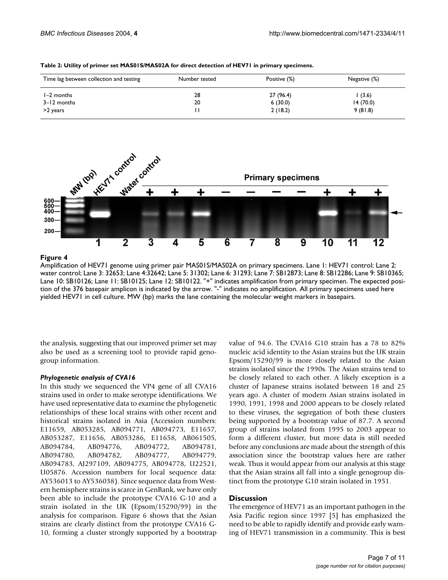| Time lag between collection and testing | Number tested | Positive (%) | Negative (%) |
|-----------------------------------------|---------------|--------------|--------------|
| $I-2$ months                            | 28            | 27 (96.4)    | (3.6)        |
| 3-12 months                             | 20            | 6(30.0)      | 14(70.0)     |
| >2 years                                |               | 2(18.2)      | 9(81.8)      |

**Table 2: Utility of primer set MAS01S/MAS02A for direct detection of HEV71 in primary specimens.**



# Amplification of HEV71 genome using primer pair MAS01S/MAS02A on primary specimens **Figure 4**

Amplification of HEV71 genome using primer pair MAS01S/MAS02A on primary specimens. Lane 1: HEV71 control; Lane 2: water control; Lane 3: 32653; Lane 4:32642; Lane 5: 31302; Lane 6: 31293; Lane 7: SB12873; Lane 8: SB12286; Lane 9: SB10365; Lane 10: SB10126; Lane 11: SB10125; Lane 12: SB10122. "+" indicates amplification from primary specimen. The expected position of the 376 basepair amplicon is indicated by the arrow. "-" indicates no amplification. All primary specimens used here yielded HEV71 in cell culture. MW (bp) marks the lane containing the molecular weight markers in basepairs.

the analysis, suggesting that our improved primer set may also be used as a screening tool to provide rapid genogroup information.

# *Phylogenetic analysis of CVA16*

In this study we sequenced the VP4 gene of all CVA16 strains used in order to make serotype identifications. We have used representative data to examine the phylogenetic relationships of these local strains with other recent and historical strains isolated in Asia (Accession numbers: E11659, AB053285, AB094771, AB094773, E11657, AB053287, E11656, AB053286, E11658, AB061505, AB094784, AB094776, AB094772, AB094781, AB094780, AB094782, AB094777, AB094779, AB094783, AJ297109, AB094775, AB094778, U22521, U05876. Accession numbers for local sequence data: AY536013 to AY536038). Since sequence data from Western hemisphere strains is scarce in GenBank, we have only been able to include the prototype CVA16 G-10 and a strain isolated in the UK (Epsom/15290/99) in the analysis for comparison. Figure [6](#page-8-0) shows that the Asian strains are clearly distinct from the prototype CVA16 G-10, forming a cluster strongly supported by a bootstrap value of 94.6. The CVA16 G10 strain has a 78 to 82% nucleic acid identity to the Asian strains but the UK strain Epsom/15290/99 is more closely related to the Asian strains isolated since the 1990s. The Asian strains tend to be closely related to each other. A likely exception is a cluster of Japanese strains isolated between 18 and 25 years ago. A cluster of modern Asian strains isolated in 1990, 1991, 1998 and 2000 appears to be closely related to these viruses, the segregation of both these clusters being supported by a bootstrap value of 87.7. A second group of strains isolated from 1995 to 2003 appear to form a different cluster, but more data is still needed before any conclusions are made about the strength of this association since the bootstrap values here are rather weak. Thus it would appear from our analysis at this stage that the Asian strains all fall into a single genogroup distinct from the prototype G10 strain isolated in 1951.

# **Discussion**

The emergence of HEV71 as an important pathogen in the Asia Pacific region since 1997 [5] has emphasized the need to be able to rapidly identify and provide early warning of HEV71 transmission in a community. This is best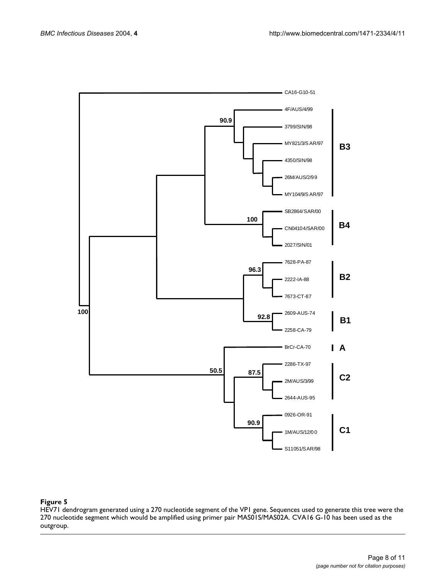<span id="page-7-0"></span>

# **Figure 5**

HEV71 dendrogram generated using a 270 nucleotide segment of the VP1 gene. Sequences used to generate this tree were the 270 nucleotide segment which would be amplified using primer pair MAS01S/MAS02A. CVA16 G-10 has been used as the outgroup.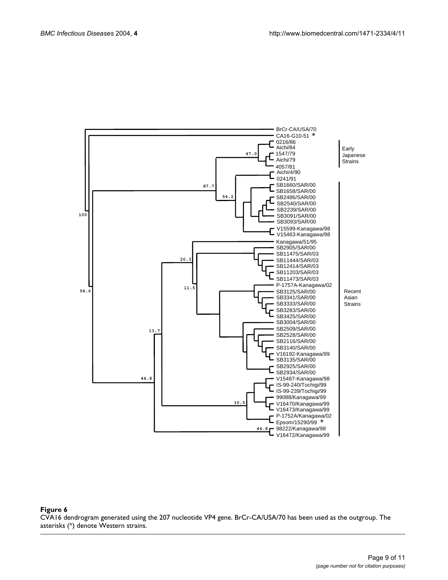<span id="page-8-0"></span>

#### Figure 6 CVA16 dendrogram generated using the 207 nucleotide VP4 gene. BrCr-CA/USA/70 has been used as the outgroup. The asterisks (\*) denote Western strains.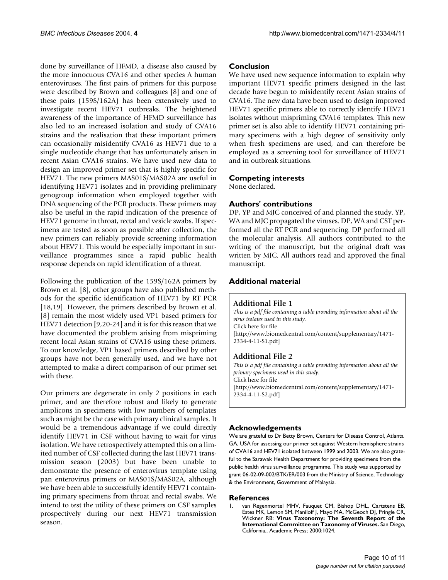done by surveillance of HFMD, a disease also caused by the more innocuous CVA16 and other species A human enteroviruses. The first pairs of primers for this purpose were described by Brown and colleagues [8] and one of these pairs (159S/162A) has been extensively used to investigate recent HEV71 outbreaks. The heightened awareness of the importance of HFMD surveillance has also led to an increased isolation and study of CVA16 strains and the realisation that these important primers can occasionally misidentify CVA16 as HEV71 due to a single nucleotide change that has unfortunately arisen in recent Asian CVA16 strains. We have used new data to design an improved primer set that is highly specific for HEV71. The new primers MAS01S/MAS02A are useful in identifying HEV71 isolates and in providing preliminary genogroup information when employed together with DNA sequencing of the PCR products. These primers may also be useful in the rapid indication of the presence of HEV71 genome in throat, rectal and vesicle swabs. If specimens are tested as soon as possible after collection, the new primers can reliably provide screening information about HEV71. This would be especially important in surveillance programmes since a rapid public health response depends on rapid identification of a threat.

Following the publication of the 159S/162A primers by Brown et al. [8], other groups have also published methods for the specific identification of HEV71 by RT PCR [18,19]. However, the primers described by Brown et al. [8] remain the most widely used VP1 based primers for HEV71 detection [9,20-24] and it is for this reason that we have documented the problem arising from mispriming recent local Asian strains of CVA16 using these primers. To our knowledge, VP1 based primers described by other groups have not been generally used, and we have not attempted to make a direct comparison of our primer set with these.

Our primers are degenerate in only 2 positions in each primer, and are therefore robust and likely to generate amplicons in specimens with low numbers of templates such as might be the case with primary clinical samples. It would be a tremendous advantage if we could directly identify HEV71 in CSF without having to wait for virus isolation. We have retrospectively attempted this on a limited number of CSF collected during the last HEV71 transmission season (2003) but have been unable to demonstrate the presence of enterovirus template using pan enterovirus primers or MAS01S/MAS02A, although we have been able to successfully identify HEV71 containing primary specimens from throat and rectal swabs. We intend to test the utility of these primers on CSF samples prospectively during our next HEV71 transmission season.

# **Conclusion**

We have used new sequence information to explain why important HEV71 specific primers designed in the last decade have begun to misidentify recent Asian strains of CVA16. The new data have been used to design improved HEV71 specific primers able to correctly identify HEV71 isolates without mispriming CVA16 templates. This new primer set is also able to identify HEV71 containing primary specimens with a high degree of sensitivity only when fresh specimens are used, and can therefore be employed as a screening tool for surveillance of HEV71 and in outbreak situations.

# **Competing interests**

None declared.

# **Authors' contributions**

DP, YP and MJC conceived of and planned the study. YP, WA and MJC propagated the viruses. DP, WA and CST performed all the RT PCR and sequencing. DP performed all the molecular analysis. All authors contributed to the writing of the manuscript, but the original draft was written by MJC. All authors read and approved the final manuscript.

# **Additional material**

# **Additional File 1**

*This is a pdf file containing a table providing information about all the virus isolates used in this study.* Click here for file [\[http://www.biomedcentral.com/content/supplementary/1471-](http://www.biomedcentral.com/content/supplementary/1471-2334-4-11-S1.pdf) 2334-4-11-S1.pdf]

# **Additional File 2**

*This is a pdf file containing a table providing information about all the primary specimens used in this study.* Click here for file [\[http://www.biomedcentral.com/content/supplementary/1471-](http://www.biomedcentral.com/content/supplementary/1471-2334-4-11-S2.pdf) 2334-4-11-S2.pdf]

# **Acknowledgements**

We are grateful to Dr Betty Brown, Centers for Disease Control, Atlanta GA, USA for assessing our primer set against Western hemisphere strains of CVA16 and HEV71 isolated between 1999 and 2003. We are also grateful to the Sarawak Health Department for providing specimens from the public health virus surveillance programme. This study was supported by grant 06-02-09-002/BTK/ER/003 from the Ministry of Science, Technology & the Environment, Government of Malaysia.

#### **References**

1. van Regenmortel MHV, Fauquet CM, Bishop DHL, Cartstens EB, Estes MK, Lemon SM, Maniloff J, Mayo MA, McGeoch DJ, Pringle CR, Wickner RB: **Virus Taxonomy: The Seventh Report of the International Committee on Taxonomy of Viruses.** San Diego, California., Academic Press; 2000:1024.